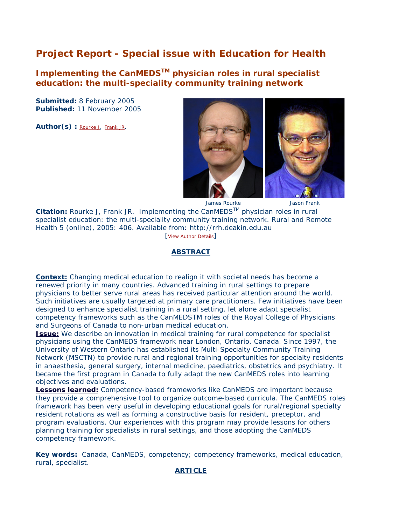# **Project Report - Special issue with** *Education for Health*

**Implementing the CanMEDSTM physician roles in rural specialist education: the multi-speciality community training network**

**Submitted:** 8 February 2005 **Published:** 11 November 2005

Author(s) : [Rourke J,](http://rrh.deakin.edu.au/profile/profilenew.asp?UserID=4017) [Frank JR.](http://rrh.deakin.edu.au/profile/profilenew.asp?UserID=5317)



James Rourke Jason Frank

Citation: Rourke J, Frank JR. Implementing the CanMEDS<sup>™</sup> physician roles in rural specialist education: the multi-speciality community training network. *Rural and Remote Health* 5 (online), 2005: 406. Available from: http://rrh.deakin.edu.au [\[View Author Details\]](http://rrh.deakin.edu.au/articles/authorsnew.asp?ArticleID=406)

## **ABSTRACT**

**[Context:](http://rrh.deakin.edu.au/articles/subviewnew.asp?ArticleID=406#context)** Changing medical education to realign it with societal needs has become a renewed priority in many countries. Advanced training in rural settings to prepare physicians to better serve rural areas has received particular attention around the world. Such initiatives are usually targeted at primary care practitioners. Few initiatives have been designed to enhance specialist training in a rural setting, let alone adapt specialist competency frameworks such as the CanMEDSTM roles of the Royal College of Physicians and Surgeons of Canada to non-urban medical education.

**[Issue:](http://rrh.deakin.edu.au/articles/subviewnew.asp?ArticleID=406#issue)** We describe an innovation in medical training for rural competence for specialist physicians using the CanMEDS framework near London, Ontario, Canada. Since 1997, the University of Western Ontario has established its Multi-Specialty Community Training Network (MSCTN) to provide rural and regional training opportunities for specialty residents in anaesthesia, general surgery, internal medicine, paediatrics, obstetrics and psychiatry. It became the first program in Canada to fully adapt the new CanMEDS roles into learning objectives and evaluations.

**[Lessons learned:](http://rrh.deakin.edu.au/articles/subviewnew.asp?ArticleID=406#lessons)** Competency-based frameworks like CanMEDS are important because they provide a comprehensive tool to organize outcome-based curricula. The CanMEDS roles framework has been very useful in developing educational goals for rural/regional specialty resident rotations as well as forming a constructive basis for resident, preceptor, and program evaluations. Our experiences with this program may provide lessons for others planning training for specialists in rural settings, and those adopting the CanMEDS competency framework.

**Key words:** Canada, CanMEDS, competency; competency frameworks, medical education, rural, specialist.

## **ARTICLE**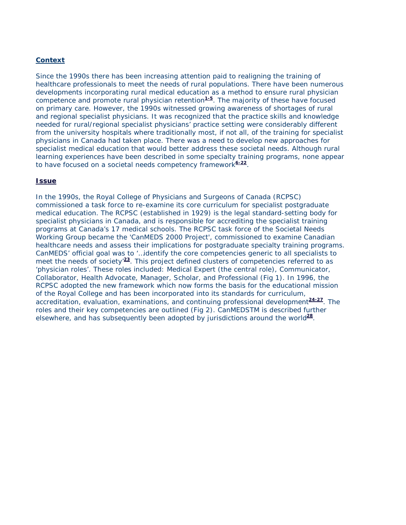## **Context**

Since the 1990s there has been increasing attention paid to realigning the training of healthcare professionals to meet the needs of rural populations. There have been numerous developments incorporating rural medical education as a method to ensure rural physician competence and promote rural physician retention**[1-5](http://rrh.deakin.edu.au/articles/subviewnew.asp?ArticleID=406#1)**. The majority of these have focused on primary care. However, the 1990s witnessed growing awareness of shortages of rural and regional specialist physicians. It was recognized that the practice skills and knowledge needed for rural/regional specialist physicians' practice setting were considerably different from the university hospitals where traditionally most, if not all, of the training for specialist physicians in Canada had taken place. There was a need to develop new approaches for specialist medical education that would better address these societal needs. Although rural learning experiences have been described in some specialty training programs, none appear to have focused on a societal needs competency framework**[6-22](http://rrh.deakin.edu.au/articles/subviewnew.asp?ArticleID=406#6)**.

#### **Issue**

In the 1990s, the Royal College of Physicians and Surgeons of Canada (RCPSC) commissioned a task force to re-examine its core curriculum for specialist postgraduate medical education. The RCPSC (established in 1929) is the legal standard-setting body for specialist physicians in Canada, and is responsible for accrediting the specialist training programs at Canada's 17 medical schools. The RCPSC task force of the Societal Needs Working Group became the 'CanMEDS 2000 Project', commissioned to examine Canadian healthcare needs and assess their implications for postgraduate specialty training programs. CanMEDS' official goal was to '…identify the core competencies generic to all specialists to meet the needs of society'**[23](http://rrh.deakin.edu.au/articles/subviewnew.asp?ArticleID=406#23)**. This project defined clusters of competencies referred to as 'physician roles'. These roles included: Medical Expert (the central role), Communicator, Collaborator, Health Advocate, Manager, Scholar, and Professional (Fig 1). In 1996, the RCPSC adopted the new framework which now forms the basis for the educational mission of the Royal College and has been incorporated into its standards for curriculum, accreditation, evaluation, examinations, and continuing professional development**[24-27](http://rrh.deakin.edu.au/articles/subviewnew.asp?ArticleID=406#24)**. The roles and their key competencies are outlined (Fig 2). CanMEDSTM is described further elsewhere, and has subsequently been adopted by jurisdictions around the world**[28](http://rrh.deakin.edu.au/articles/subviewnew.asp?ArticleID=406#28)**.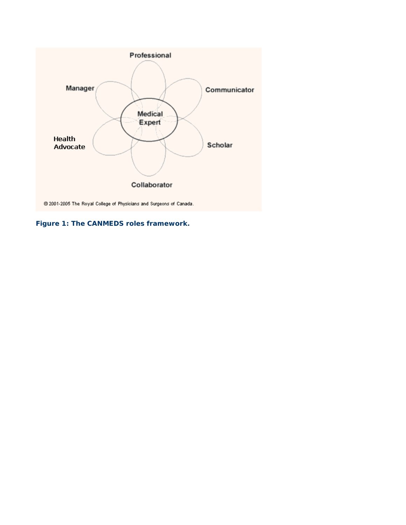

**Figure 1: The CANMEDS roles framework.**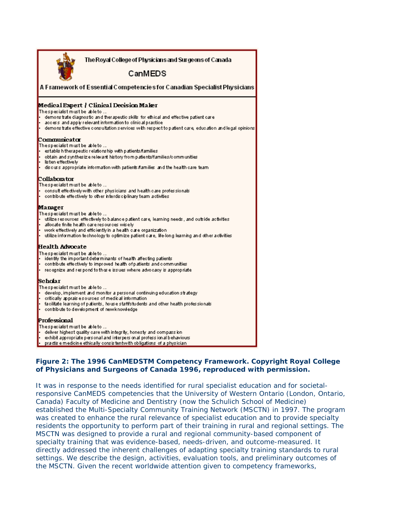| The Royal College of Physicians and Surgeons of Canada<br>CanMEDS                                        |  |  |  |  |  |
|----------------------------------------------------------------------------------------------------------|--|--|--|--|--|
|                                                                                                          |  |  |  |  |  |
| A Framework of Essential Competencies for Canadian Specialist Physicians                                 |  |  |  |  |  |
| Medical Expert   Clinical Decision Maker                                                                 |  |  |  |  |  |
| Thespecialist must be able to                                                                            |  |  |  |  |  |
| demons trate diagnostic and therapeutic skills for ethical and effective patient care                    |  |  |  |  |  |
| access and apply relevant information to clinical practice.                                              |  |  |  |  |  |
| demons trate effective consultation services with respect to patient care, education and legal opinions. |  |  |  |  |  |
| Communicator                                                                                             |  |  |  |  |  |
| Thespecialist must be able to                                                                            |  |  |  |  |  |
| establish therapeutic relationship with patients/families                                                |  |  |  |  |  |
| obtain and synthesizie relevant history from patients/families/communities<br>listen effectively         |  |  |  |  |  |
| discuss appropriate information with patients fiamilies and the health care team                         |  |  |  |  |  |
| Collaborator                                                                                             |  |  |  |  |  |
| Thespecialist must be able to …                                                                          |  |  |  |  |  |
| consult effectively with other physicians and health care professionals                                  |  |  |  |  |  |
| contribute effectively to other interdisciplinary team activities                                        |  |  |  |  |  |
| Manager                                                                                                  |  |  |  |  |  |
| Thespecialist must be able to                                                                            |  |  |  |  |  |
| utilize resources effectively to balance patient care, learning needs , and outside activities           |  |  |  |  |  |
| l.<br>allocate finite health care resources wiselv.                                                      |  |  |  |  |  |
| work effectively and efficiently in a health date organization.                                          |  |  |  |  |  |
| utilize information technology to optimize patient care, life-long learning and other activities         |  |  |  |  |  |
| <b>Health Advocate</b>                                                                                   |  |  |  |  |  |
| Thespecialist must be able to …                                                                          |  |  |  |  |  |
| identify the important determinants of health affecting patients.                                        |  |  |  |  |  |
| contribute effectively to improved health of patients and communities                                    |  |  |  |  |  |
| redognize and respond to those issues where advocacy is appropriate.                                     |  |  |  |  |  |
| Seholar                                                                                                  |  |  |  |  |  |
| Thespecialist must be able to                                                                            |  |  |  |  |  |
| develop, implement and monitor a personal continuing education strategy                                  |  |  |  |  |  |
| critically apprais esources of medical information.                                                      |  |  |  |  |  |
| facilitate learning of patients, house staff/students and other health professionals                     |  |  |  |  |  |
| contribute to development of new knowledge                                                               |  |  |  |  |  |
| Professional                                                                                             |  |  |  |  |  |
| Thespecialist must be able to …                                                                          |  |  |  |  |  |
| deliver highest quality care with integrity, honesty and compassion                                      |  |  |  |  |  |
| exhibit appropriate personal and interpers on al profess ion al behaviours.                              |  |  |  |  |  |
| practisie medicine ethically consistent with obligations of a physician                                  |  |  |  |  |  |
|                                                                                                          |  |  |  |  |  |

## **Figure 2: The 1996 CanMEDSTM Competency Framework. Copyright Royal College of Physicians and Surgeons of Canada 1996, reproduced with permission.**

It was in response to the needs identified for rural specialist education and for societalresponsive CanMEDS competencies that the University of Western Ontario (London, Ontario, Canada) Faculty of Medicine and Dentistry (now the Schulich School of Medicine) established the Multi-Specialty Community Training Network (MSCTN) in 1997. The program was created to enhance the rural relevance of specialist education and to provide specialty residents the opportunity to perform part of their training in rural and regional settings. The MSCTN was designed to provide a rural and regional community-based component of specialty training that was evidence-based, needs-driven, and outcome-measured. It directly addressed the inherent challenges of adapting specialty training standards to rural settings. We describe the design, activities, evaluation tools, and preliminary outcomes of the MSCTN. Given the recent worldwide attention given to competency frameworks,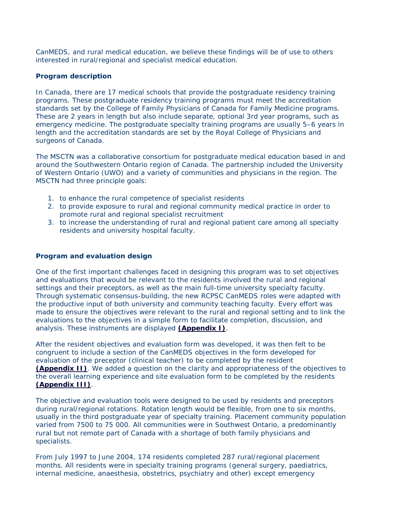CanMEDS, and rural medical education, we believe these findings will be of use to others interested in rural/regional and specialist medical education.

## *Program description*

In Canada, there are 17 medical schools that provide the postgraduate residency training programs. These postgraduate residency training programs must meet the accreditation standards set by the College of Family Physicians of Canada for Family Medicine programs. These are 2 years in length but also include separate, optional 3rd year programs, such as emergency medicine. The postgraduate specialty training programs are usually 5–6 years in length and the accreditation standards are set by the Royal College of Physicians and surgeons of Canada.

The MSCTN was a collaborative consortium for postgraduate medical education based in and around the Southwestern Ontario region of Canada. The partnership included the University of Western Ontario (UWO) and a variety of communities and physicians in the region. The MSCTN had three principle goals:

- 1. to enhance the rural competence of specialist residents
- 2. to provide exposure to rural and regional community medical practice in order to promote rural and regional specialist recruitment
- 3. to increase the understanding of rural and regional patient care among all specialty residents and university hospital faculty.

## *Program and evaluation design*

One of the first important challenges faced in designing this program was to set objectives and evaluations that would be relevant to the residents involved the rural and regional settings and their preceptors, as well as the main full-time university specialty faculty. Through systematic consensus-building, the new RCPSC CanMEDS roles were adapted with the productive input of both university and community teaching faculty. Every effort was made to ensure the objectives were relevant to the rural and regional setting and to link the evaluations to the objectives in a simple form to facilitate completion, discussion, and analysis. These instruments are displayed **[\(Appendix](http://rrh.deakin.edu.au/articles/subviewnew.asp?ArticleID=406#appendix1) I)**.

After the resident objectives and evaluation form was developed, it was then felt to be congruent to include a section of the CanMEDS objectives in the form developed for evaluation of the preceptor (clinical teacher) to be completed by the resident **[\(Appendix](http://rrh.deakin.edu.au/articles/subviewnew.asp?ArticleID=406#appendix2) II)**. We added a question on the clarity and appropriateness of the objectives to the overall learning experience and site evaluation form to be completed by the residents **[\(Appendix III\)](http://rrh.deakin.edu.au/articles/subviewnew.asp?ArticleID=406#appendix3)**.

The objective and evaluation tools were designed to be used by residents and preceptors during rural/regional rotations. Rotation length would be flexible, from one to six months, usually in the third postgraduate year of specialty training. Placement community population varied from 7500 to 75 000. All communities were in Southwest Ontario, a predominantly rural but not remote part of Canada with a shortage of both family physicians and specialists.

From July 1997 to June 2004, 174 residents completed 287 rural/regional placement months. All residents were in specialty training programs (general surgery, paediatrics, internal medicine, anaesthesia, obstetrics, psychiatry and other) except emergency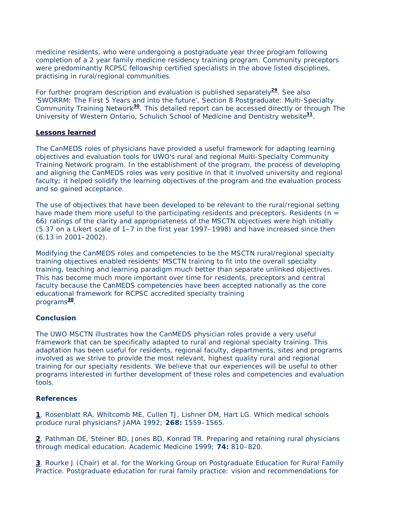medicine residents, who were undergoing a postgraduate year three program following completion of a 2 year family medicine residency training program. Community preceptors were predominantly RCPSC fellowship certified specialists in the above listed disciplines, practising in rural/regional communities.

For further program description and evaluation is published separately**[29](http://rrh.deakin.edu.au/articles/subviewnew.asp?ArticleID=406#29)**. See also 'SWORRM: The First 5 Years and into the future', Section 8 Postgraduate: Multi-Specialty Community Training Network**[30](http://rrh.deakin.edu.au/articles/subviewnew.asp?ArticleID=406#30)**. This detailed report can be accessed directly or through The University of Western Ontario, Schulich School of Medicine and Dentistry website**[31](http://rrh.deakin.edu.au/articles/subviewnew.asp?ArticleID=406#31)**.

#### **Lessons learned**

The CanMEDS roles of physicians have provided a useful framework for adapting learning objectives and evaluation tools for UWO's rural and regional Multi-Specialty Community Training Network program. In the establishment of the program, the process of developing and aligning the CanMEDS roles was very positive in that it involved university and regional faculty; it helped solidify the learning objectives of the program and the evaluation process and so gained acceptance.

The use of objectives that have been developed to be relevant to the rural/regional setting have made them more useful to the participating residents and preceptors. Residents ( $n =$ 66) ratings of the clarity and appropriateness of the MSCTN objectives were high initially (5.37 on a Likert scale of 1–7 in the first year 1997–1998) and have increased since then (6.13 in 2001–2002).

Modifying the CanMEDS roles and competencies to be the MSCTN rural/regional specialty training objectives enabled residents' MSCTN training to fit into the overall specialty training, teaching and learning paradigm much better than separate unlinked objectives. This has become much more important over time for residents, preceptors and central faculty because the CanMEDS competencies have been accepted nationally as the core educational framework for RCPSC accredited specialty training programs**[30](http://rrh.deakin.edu.au/articles/subviewnew.asp?ArticleID=406#30)**.

## **Conclusion**

The UWO MSCTN illustrates how the CanMEDS physician roles provide a very useful framework that can be specifically adapted to rural and regional specialty training. This adaptation has been useful for residents, regional faculty, departments, sites and programs involved as we strive to provide the most relevant, highest quality rural and regional training for our specialty residents. We believe that our experiences will be useful to other programs interested in further development of these roles and competencies and evaluation tools.

#### **References**

**[1](http://rrh.deakin.edu.au/articles/subviewnew.asp?ArticleID=406#back1)**. Rosenblatt RA, Whitcomb ME, Cullen TJ, Lishner DM, Hart LG. Which medical schools produce rural physicians? *JAMA* 1992; **268:** 1559–1565.

**[2](http://rrh.deakin.edu.au/articles/subviewnew.asp?ArticleID=406#back1)**. Pathman DE, Steiner BD, Jones BD, Konrad TR. Preparing and retaining rural physicians through medical education. *Academic Medicine* 1999; **74:** 810–820.

**[3](http://rrh.deakin.edu.au/articles/subviewnew.asp?ArticleID=406#back1)**. Rourke J (Chair) et al. for the Working Group on Postgraduate Education for Rural Family Practice. Postgraduate education for rural family practice: vision and recommendations for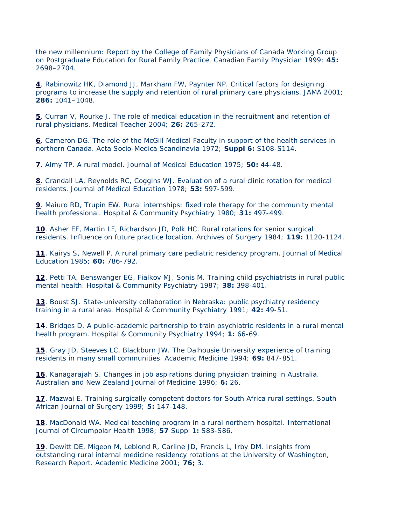the new millennium: Report by the College of Family Physicians of Canada Working Group on Postgraduate Education for Rural Family Practice. *Canadian Family Physician* 1999; **45:** 2698–2704.

**[4](http://rrh.deakin.edu.au/articles/subviewnew.asp?ArticleID=406#back1)**. Rabinowitz HK, Diamond JJ, Markham FW, Paynter NP. Critical factors for designing programs to increase the supply and retention of rural primary care physicians. *JAMA* 2001; **286:** 1041–1048.

**[5](http://rrh.deakin.edu.au/articles/subviewnew.asp?ArticleID=406#back1)**. Curran V, Rourke J. The role of medical education in the recruitment and retention of rural physicians. *Medical Teacher* 2004; **26:** 265-272.

**[6](http://rrh.deakin.edu.au/articles/subviewnew.asp?ArticleID=406#back6)**. Cameron DG. The role of the McGill Medical Faculty in support of the health services in northern Canada. *Acta Socio-Medica Scandinavia* 1972; **Suppl 6:** S108-S114.

**[7](http://rrh.deakin.edu.au/articles/subviewnew.asp?ArticleID=406#back6)**. Almy TP. A rural model. *Journal of Medical Education* 1975; **50:** 44-48.

**[8](http://rrh.deakin.edu.au/articles/subviewnew.asp?ArticleID=406#back6)**. Crandall LA, Reynolds RC, Coggins WJ. Evaluation of a rural clinic rotation for medical residents. *Journal of Medical Education* 1978; **53:** 597-599.

**[9](http://rrh.deakin.edu.au/articles/subviewnew.asp?ArticleID=406#back6)**. Maiuro RD, Trupin EW. Rural internships: fixed role therapy for the community mental health professional. *Hospital & Community Psychiatry* 1980; **31:** 497-499.

**[10](http://rrh.deakin.edu.au/articles/subviewnew.asp?ArticleID=406#back6)**. Asher EF, Martin LF, Richardson JD, Polk HC. Rural rotations for senior surgical residents. Influence on future practice location. *Archives of Surgery* 1984; **119:** 1120-1124.

**[11](http://rrh.deakin.edu.au/articles/subviewnew.asp?ArticleID=406#back6)**. Kairys S, Newell P. A rural primary care pediatric residency program. *Journal of Medical Education* 1985; **60:** 786-792.

**[12](http://rrh.deakin.edu.au/articles/subviewnew.asp?ArticleID=406#back6)**. Petti TA, Benswanger EG, Fialkov MJ, Sonis M. Training child psychiatrists in rural public mental health. *Hospital & Community Psychiatry* 1987; **38:** 398-401.

**[13](http://rrh.deakin.edu.au/articles/subviewnew.asp?ArticleID=406#back6)**. Boust SJ. State-university collaboration in Nebraska: public psychiatry residency training in a rural area. *Hospital & Community Psychiatry* 1991; **42:** 49-51.

**[14](http://rrh.deakin.edu.au/articles/subviewnew.asp?ArticleID=406#back6)**. Bridges D. A public-academic partnership to train psychiatric residents in a rural mental health program. *Hospital & Community Psychiatry* 1994; **1:** 66-69.

**[15](http://rrh.deakin.edu.au/articles/subviewnew.asp?ArticleID=406#back6)**. Gray JD, Steeves LC, Blackburn JW. The Dalhousie University experience of training residents in many small communities. *Academic Medicine* 1994; **69:** 847-851.

**[16](http://rrh.deakin.edu.au/articles/subviewnew.asp?ArticleID=406#back6)**. Kanagarajah S. Changes in job aspirations during physician training in Australia. *Australian and New Zealand Journal of Medicine* 1996; **6:** 26.

**[17](http://rrh.deakin.edu.au/articles/subviewnew.asp?ArticleID=406#back6)**. Mazwai E. Training surgically competent doctors for South Africa rural settings. *South African Journal of Surgery* 1999; **5:** 147-148.

**[18](http://rrh.deakin.edu.au/articles/subviewnew.asp?ArticleID=406#back6)**. MacDonald WA. Medical teaching program in a rural northern hospital. International *Journal of Circumpolar Health* 1998; **57** Suppl 1**:** S83-S86.

**[19](http://rrh.deakin.edu.au/articles/subviewnew.asp?ArticleID=406#back6)**. Dewitt DE, Migeon M, Leblond R, Carline JD, Francis L, Irby DM. Insights from outstanding rural internal medicine residency rotations at the University of Washington, Research Report. *Academic Medicine* 2001; **76;** 3.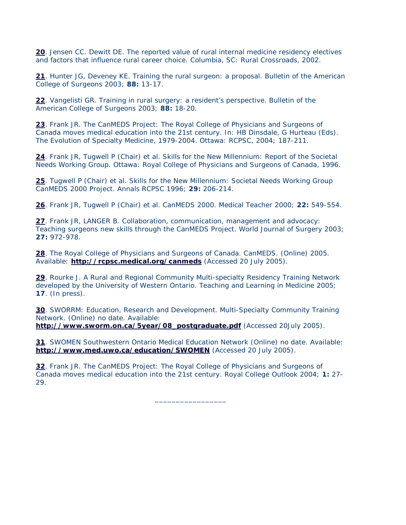**[20](http://rrh.deakin.edu.au/articles/subviewnew.asp?ArticleID=406#back6)**. Jensen CC. Dewitt DE. *The reported value of rural internal medicine residency electives and factors that influence rural career choice*. Columbia, SC: Rural Crossroads, 2002.

**[21](http://rrh.deakin.edu.au/articles/subviewnew.asp?ArticleID=406#back6)**. Hunter JG, Deveney KE. Training the rural surgeon: a proposal. *Bulletin of the American College of Surgeons* 2003; **88:** 13-17.

**[22](http://rrh.deakin.edu.au/articles/subviewnew.asp?ArticleID=406#back6)**. Vangelisti GR. Training in rural surgery: a resident's perspective. *Bulletin of the American College of Surgeons* 2003; **88:** 18-20.

**[23](http://rrh.deakin.edu.au/articles/subviewnew.asp?ArticleID=406#back23)**. Frank JR. The CanMEDS Project: The Royal College of Physicians and Surgeons of Canada moves medical education into the 21st century. In: HB Dinsdale, G Hurteau (Eds). *The Evolution of Specialty Medicine*, 1979-2004. Ottawa: RCPSC, 2004; 187-211.

**[24](http://rrh.deakin.edu.au/articles/subviewnew.asp?ArticleID=406#back24)**. Frank JR, Tugwell P (Chair) et al. *Skills for the New Millennium: Report of the Societal Needs Working Group*. Ottawa: Royal College of Physicians and Surgeons of Canada, 1996.

**[25](http://rrh.deakin.edu.au/articles/subviewnew.asp?ArticleID=406#back24)**. Tugwell P (Chair) et al. Skills for the New Millennium: Societal Needs Working Group CanMEDS 2000 Project. *Annals RCPSC* 1996; **29:** 206-214.

**[26](http://rrh.deakin.edu.au/articles/subviewnew.asp?ArticleID=406#back24)**. Frank JR, Tugwell P (Chair) et al. CanMEDS 2000. *Medical Teacher* 2000; **22:** 549-554.

**[27](http://rrh.deakin.edu.au/articles/subviewnew.asp?ArticleID=406#back24)**. Frank JR, LANGER B. Collaboration, communication, management and advocacy: Teaching surgeons new skills through the CanMEDS Project. *World Journal of Surgery* 2003; **27:** 972-978.

**[28](http://rrh.deakin.edu.au/articles/subviewnew.asp?ArticleID=406#back28)**. The Royal College of Physicians and Surgeons of Canada. *CanMEDS*. (Online) 2005. Available: **<http://rcpsc.medical.org/canmeds>** (Accessed 20 July 2005).

**[29](http://rrh.deakin.edu.au/articles/subviewnew.asp?ArticleID=406#back29)**. Rourke J. A Rural and Regional Community Multi-specialty Residency Training Network developed by the University of Western Ontario. *Teaching and Learning in Medicine* 2005; **17**. (In press).

**[30](http://rrh.deakin.edu.au/articles/subviewnew.asp?ArticleID=406#back30)**. SWORRM: Education, Research and Development. *Multi-Specialty Community Training Network*. (Online) no date. Available:

**[http://www.sworm.on.ca/5year/08\\_postgraduate.pdf](http://www.sworm.on.ca/5year/08_postgraduate.pdf)** (Accessed 20July 2005).

**[31](http://rrh.deakin.edu.au/articles/subviewnew.asp?ArticleID=406#back31)**. SWOMEN Southwestern Ontario Medical Education Network (Online) no date. Available: **<http://www.med.uwo.ca/education/SWOMEN>** (Accessed 20 July 2005).

**[32](http://rrh.deakin.edu.au/articles/subviewnew.asp?ArticleID=406#back32)**. Frank JR. The CanMEDS Project: The Royal College of Physicians and Surgeons of Canada moves medical education into the 21st century. *Royal College Outlook* 2004; **1:** 27- 29.

\_\_\_\_\_\_\_\_\_\_\_\_\_\_\_\_\_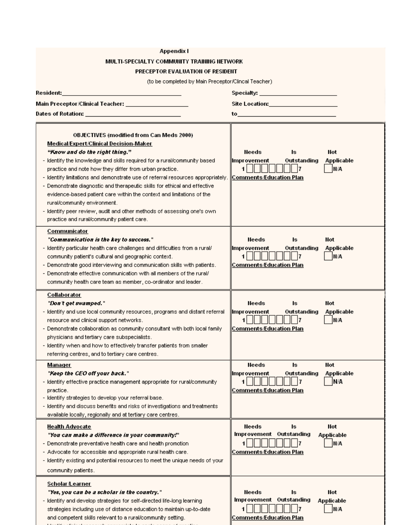|                                                                                                                                                                                                                                | Appendix I                                                                                                                                                                                                                                                                                                                                                                                                                                      |                                                                                                  |                                 |  |  |  |
|--------------------------------------------------------------------------------------------------------------------------------------------------------------------------------------------------------------------------------|-------------------------------------------------------------------------------------------------------------------------------------------------------------------------------------------------------------------------------------------------------------------------------------------------------------------------------------------------------------------------------------------------------------------------------------------------|--------------------------------------------------------------------------------------------------|---------------------------------|--|--|--|
|                                                                                                                                                                                                                                | MULTI-SPECIALTY COMMUNITY TRAINING NETWORK                                                                                                                                                                                                                                                                                                                                                                                                      |                                                                                                  |                                 |  |  |  |
|                                                                                                                                                                                                                                | PRECEPTOR EVALUATION OF RESIDENT                                                                                                                                                                                                                                                                                                                                                                                                                |                                                                                                  |                                 |  |  |  |
|                                                                                                                                                                                                                                | (to be completed by Main Preceptor/Clincal Teacher)                                                                                                                                                                                                                                                                                                                                                                                             |                                                                                                  |                                 |  |  |  |
| Resident:                                                                                                                                                                                                                      |                                                                                                                                                                                                                                                                                                                                                                                                                                                 | Specialty: __________________________                                                            |                                 |  |  |  |
|                                                                                                                                                                                                                                |                                                                                                                                                                                                                                                                                                                                                                                                                                                 |                                                                                                  |                                 |  |  |  |
| Main Preceptor/Clinical Teacher: ____________________                                                                                                                                                                          |                                                                                                                                                                                                                                                                                                                                                                                                                                                 | Site Location: _______________________                                                           |                                 |  |  |  |
| Dates of Rotation: _______________________________                                                                                                                                                                             |                                                                                                                                                                                                                                                                                                                                                                                                                                                 | <b>to____________________________</b>                                                            |                                 |  |  |  |
| Medical/Expert/Clinical Decision-Maker<br>"Know and do the right thing."<br>practice and note how they differ from urban practice.<br>rural/community environment.<br>practice and rural/community patient care.               | <b>OBJECTIVES (modified from Can Meds 2000)</b><br>- Identify the knowledge and skills required for a rural/community based<br>- Identify limitations and demonstrate use of referral resources appropriately.<br>- Demonstrate diagnostic and therapeutic skills for ethical and effective<br>evidence-based patient care within the context and limitations of the<br>- Identify peer review, audit and other methods of assessing one's own. | Needs<br>ls.<br>Improvement<br>Outstanding<br>1      <br>II 17<br><b>Comments/Education Plan</b> | Not<br><b>Applicable</b><br>N/A |  |  |  |
| Communicator<br>"Communication is the key to success."<br>community patient's cultural and geographic context.<br>community health care team as member, co-ordinator and leader.                                               | - Identify particular health care challenges and difficulties from a rural/<br>- Demonstrate good interviewing and communication skills with patients.<br>- Demonstrate effective communication with all members of the rural/                                                                                                                                                                                                                  | Needs<br>Is<br> Improvement<br>Outstanding<br>1      <br><b>Comments/Education Plan</b>          | Not<br><b>Applicable</b><br>N/A |  |  |  |
| <b>Collaborator</b><br>"Don't get swamped."<br>resource and clinical support networks.<br>physicians and tertiary care subspecialists.<br>referring centres, and to tertiary care centres.                                     | - Identify and use local community resources, programs and distant referral<br>- Demonstrate collaboration as community consultant with both local family<br>- Identify when and how to effectively transfer patients from smaller                                                                                                                                                                                                              | Needs<br>Is<br>Outstanding<br>Improvement<br>11.<br><b>Comments/Education Plan</b>               | Not<br><b>Applicable</b><br>N/A |  |  |  |
| <u>Manager</u><br>"Keep the CEO off your back."<br>practice.<br>- Identify strategies to develop your referral base.<br>available locally, regionally and at tertiary care centres.                                            | - Identify effective practice management appropriate for rural/community<br>- Identify and discuss benefits and risks of investigations and treatments                                                                                                                                                                                                                                                                                          | Needs<br>Is<br> Improvement<br>Outstanding<br>1.<br>17<br><b>Comments/Education Plan</b>         | Not<br><b>Applicable</b><br>N/A |  |  |  |
| <b>Health Advocate</b><br>"You can make a difference in your community!"<br>- Demonstrate preventative health care and health promotion<br>- Advocate for accessible and appropriate rural health care.<br>community patients. | - Identify existing and potential resources to meet the unique needs of your                                                                                                                                                                                                                                                                                                                                                                    | Needs<br>Is<br>Improvement Outstanding<br><u>Comments/Education Plan</u>                         | Not<br><b>Applicable</b><br>N/A |  |  |  |
| Scholar/Learner<br>"Yes, you can be a scholar in the country."<br>- Identify and develop strategies for self-directed life-long learning<br>and competent skills relevant to a rural/community setting.                        | strategies including use of distance education to maintain up-to-date                                                                                                                                                                                                                                                                                                                                                                           | Needs<br><b>Is</b><br>Improvement<br>Outstanding<br><b>Comments/Education Plan</b>               | Not<br>Applicable<br>N/A        |  |  |  |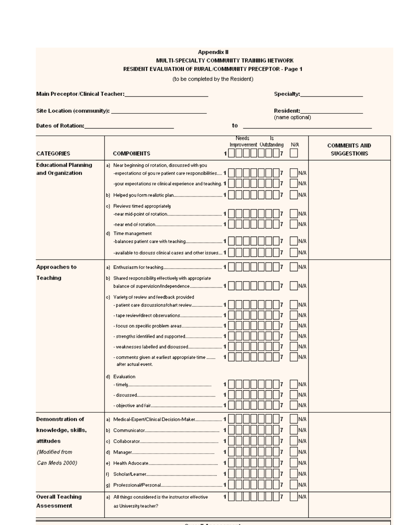| Appendix II<br>MULTI-SPECIALTY COMMUNITY TRAINING NETWORK<br>RESIDENT EVALUATION OF RURAL/COMMUNITY PRECEPTOR - Page 1<br>(to be completed by the Resident) |                                                                                                                                                                                                                                     |                                                                                  |                                           |  |  |  |
|-------------------------------------------------------------------------------------------------------------------------------------------------------------|-------------------------------------------------------------------------------------------------------------------------------------------------------------------------------------------------------------------------------------|----------------------------------------------------------------------------------|-------------------------------------------|--|--|--|
|                                                                                                                                                             | Main Preceptor/Clinical Teacher:_____________________________                                                                                                                                                                       |                                                                                  | Specialty: <b>Example 2019</b>            |  |  |  |
| Site Location (community): __________________________________                                                                                               |                                                                                                                                                                                                                                     | Resident:<br>(name optional)                                                     |                                           |  |  |  |
|                                                                                                                                                             | Dates of Rotation:______________________________                                                                                                                                                                                    | to<br>the control of the control of the control of the control of the control of |                                           |  |  |  |
| <b>CATEGORIES</b>                                                                                                                                           | <b>COMPONENTS</b>                                                                                                                                                                                                                   | <b>Needs</b><br>1s.<br>Improvement Outstanding<br>N/A                            | <b>COMMENTS AND</b><br><b>SUGGESTIONS</b> |  |  |  |
| <b>Educational Planning</b><br>and Organization                                                                                                             | a) Near beginning of rotation, discussed with you<br>-expectations of you re patient care responsibilities 1<br>-your expectations re clinical experience and teaching. 1<br>c) Reviews timed appropriately                         | IN/A<br>N/A<br>N/A<br>N/A<br>N/A                                                 |                                           |  |  |  |
|                                                                                                                                                             | d) Time management<br>-available to discuss clinical cases and other issues 1                                                                                                                                                       | N/A<br>IN/A                                                                      |                                           |  |  |  |
| Approaches to<br>Teaching                                                                                                                                   |                                                                                                                                                                                                                                     | N/A                                                                              |                                           |  |  |  |
|                                                                                                                                                             | b) Shared responsibility effectively with appropriate<br>c) Variety of review and feedback provided<br>- weaknesses labelled and discussed<br>- comments given at earliest appropriate time<br>after actual event.<br>d) Evaluation | IN/A<br>N/A<br>IN/A<br>N/A<br>IN/A<br>N/A<br>1<br>N/A<br>IN/A<br>N/A<br>N/A      |                                           |  |  |  |
| <b>Demonstration of</b>                                                                                                                                     | a) Medical-Expert/Clinical Decision-Maker 1                                                                                                                                                                                         | IN/A                                                                             |                                           |  |  |  |
| knowledge, skills,<br>attitudes                                                                                                                             |                                                                                                                                                                                                                                     | N/A<br>N/A                                                                       |                                           |  |  |  |
| (Modified from                                                                                                                                              |                                                                                                                                                                                                                                     | N/A                                                                              |                                           |  |  |  |
| Can Meds 2000)                                                                                                                                              | n.                                                                                                                                                                                                                                  | N/A<br>N/A<br>N/A                                                                |                                           |  |  |  |
| <b>Overall Teaching</b><br>Assessment                                                                                                                       | a) All things considered is the instructor effective<br>as University teacher?                                                                                                                                                      | N/A                                                                              |                                           |  |  |  |